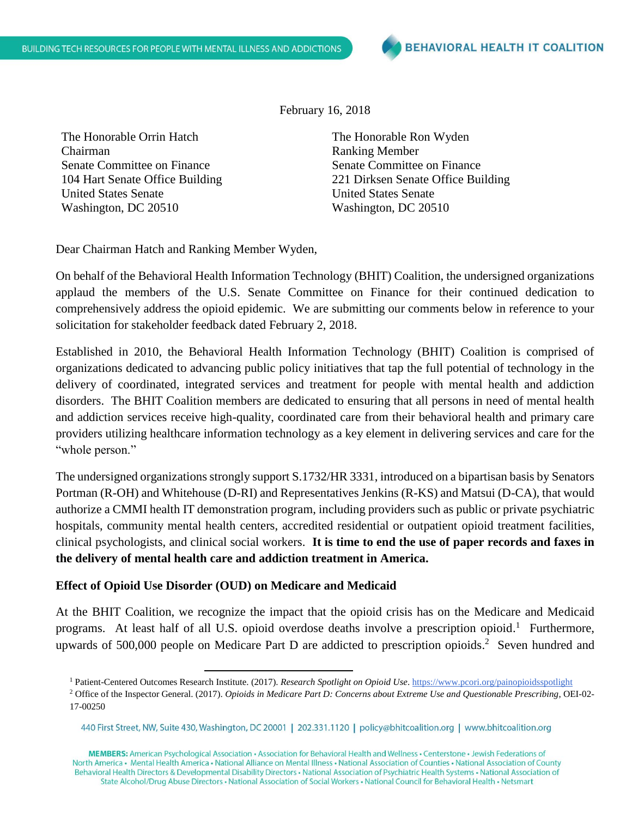February 16, 2018

The Honorable Orrin Hatch Chairman Senate Committee on Finance 104 Hart Senate Office Building United States Senate Washington, DC 20510

The Honorable Ron Wyden Ranking Member Senate Committee on Finance 221 Dirksen Senate Office Building United States Senate Washington, DC 20510

Dear Chairman Hatch and Ranking Member Wyden,

On behalf of the Behavioral Health Information Technology (BHIT) Coalition, the undersigned organizations applaud the members of the U.S. Senate Committee on Finance for their continued dedication to comprehensively address the opioid epidemic. We are submitting our comments below in reference to your solicitation for stakeholder feedback dated February 2, 2018.

Established in 2010, the Behavioral Health Information Technology (BHIT) Coalition is comprised of organizations dedicated to advancing public policy initiatives that tap the full potential of technology in the delivery of coordinated, integrated services and treatment for people with mental health and addiction disorders. The BHIT Coalition members are dedicated to ensuring that all persons in need of mental health and addiction services receive high-quality, coordinated care from their behavioral health and primary care providers utilizing healthcare information technology as a key element in delivering services and care for the "whole person."

The undersigned organizations strongly support S.1732/HR 3331, introduced on a bipartisan basis by Senators Portman (R-OH) and Whitehouse (D-RI) and Representatives Jenkins (R-KS) and Matsui (D-CA), that would authorize a CMMI health IT demonstration program, including providers such as public or private psychiatric hospitals, community mental health centers, accredited residential or outpatient opioid treatment facilities, clinical psychologists, and clinical social workers. **It is time to end the use of paper records and faxes in the delivery of mental health care and addiction treatment in America.**

### **Effect of Opioid Use Disorder (OUD) on Medicare and Medicaid**

At the BHIT Coalition, we recognize the impact that the opioid crisis has on the Medicare and Medicaid programs. At least half of all U.S. opioid overdose deaths involve a prescription opioid.<sup>1</sup> Furthermore, upwards of 500,000 people on Medicare Part D are addicted to prescription opioids. 2 Seven hundred and

MEMBERS: American Psychological Association · Association for Behavioral Health and Wellness · Centerstone · Jewish Federations of North America • Mental Health America • National Alliance on Mental Illness • National Association of Counties • National Association of County Behavioral Health Directors & Developmental Disability Directors · National Association of Psychiatric Health Systems · National Association of State Alcohol/Drug Abuse Directors • National Association of Social Workers • National Council for Behavioral Health • Netsmart

 $\overline{\phantom{a}}$ <sup>1</sup> Patient-Centered Outcomes Research Institute. (2017). *Research Spotlight on Opioid Use*[. https://www.pcori.org/painopioidsspotlight](https://www.pcori.org/painopioidsspotlight)

<sup>2</sup> Office of the Inspector General. (2017). *Opioids in Medicare Part D: Concerns about Extreme Use and Questionable Prescribing*, OEI-02- 17-00250

<sup>440</sup> First Street, NW, Suite 430, Washington, DC 20001 | 202.331.1120 | policy@bhitcoalition.org | www.bhitcoalition.org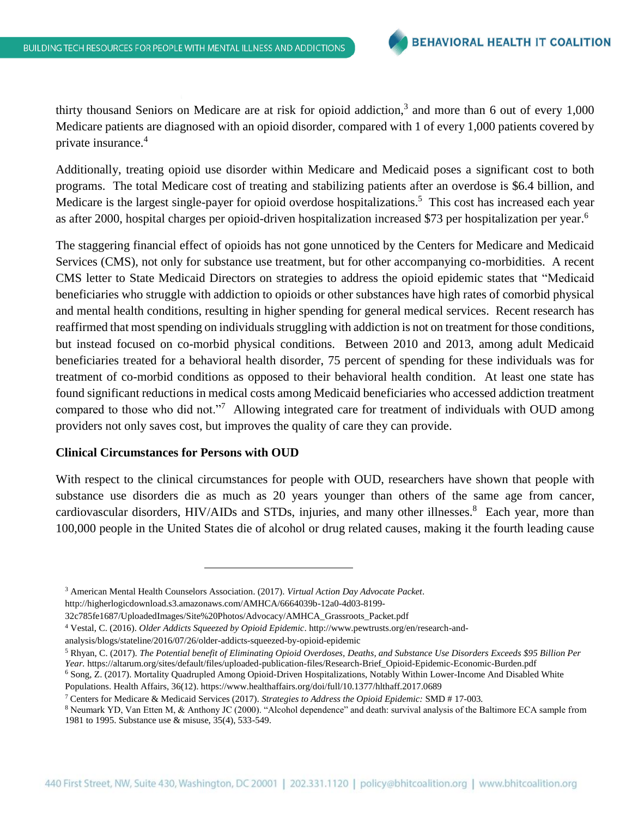thirty thousand Seniors on Medicare are at risk for opioid addiction,<sup>3</sup> and more than 6 out of every  $1,000$ Medicare patients are diagnosed with an opioid disorder, compared with 1 of every 1,000 patients covered by private insurance. 4

Additionally, treating opioid use disorder within Medicare and Medicaid poses a significant cost to both programs. The total Medicare cost of treating and stabilizing patients after an overdose is \$6.4 billion, and Medicare is the largest single-payer for opioid overdose hospitalizations.<sup>5</sup> This cost has increased each year as after 2000, hospital charges per opioid-driven hospitalization increased \$73 per hospitalization per year.<sup>6</sup>

The staggering financial effect of opioids has not gone unnoticed by the Centers for Medicare and Medicaid Services (CMS), not only for substance use treatment, but for other accompanying co-morbidities. A recent CMS letter to State Medicaid Directors on strategies to address the opioid epidemic states that "Medicaid beneficiaries who struggle with addiction to opioids or other substances have high rates of comorbid physical and mental health conditions, resulting in higher spending for general medical services. Recent research has reaffirmed that most spending on individuals struggling with addiction is not on treatment for those conditions, but instead focused on co-morbid physical conditions. Between 2010 and 2013, among adult Medicaid beneficiaries treated for a behavioral health disorder, 75 percent of spending for these individuals was for treatment of co-morbid conditions as opposed to their behavioral health condition. At least one state has found significant reductions in medical costs among Medicaid beneficiaries who accessed addiction treatment compared to those who did not."<sup>7</sup> Allowing integrated care for treatment of individuals with OUD among providers not only saves cost, but improves the quality of care they can provide.

#### **Clinical Circumstances for Persons with OUD**

With respect to the clinical circumstances for people with OUD, researchers have shown that people with substance use disorders die as much as 20 years younger than others of the same age from cancer, cardiovascular disorders, HIV/AIDs and STDs, injuries, and many other illnesses.<sup>8</sup> Each year, more than 100,000 people in the United States die of alcohol or drug related causes, making it the fourth leading cause

http://higherlogicdownload.s3.amazonaws.com/AMHCA/6664039b-12a0-4d03-8199-

analysis/blogs/stateline/2016/07/26/older-addicts-squeezed-by-opioid-epidemic

 $\overline{\phantom{a}}$ 

<sup>3</sup> American Mental Health Counselors Association. (2017). *Virtual Action Day Advocate Packet*.

<sup>32</sup>c785fe1687/UploadedImages/Site%20Photos/Advocacy/AMHCA\_Grassroots\_Packet.pdf

<sup>4</sup> Vestal, C. (2016). *Older Addicts Squeezed by Opioid Epidemic*. http://www.pewtrusts.org/en/research-and-

<sup>5</sup> Rhyan, C. (2017). *The Potential benefit of Eliminating Opioid Overdoses, Deaths, and Substance Use Disorders Exceeds \$95 Billion Per Year.* https://altarum.org/sites/default/files/uploaded-publication-files/Research-Brief\_Opioid-Epidemic-Economic-Burden.pdf

<sup>6</sup> Song, Z. (2017). Mortality Quadrupled Among Opioid-Driven Hospitalizations, Notably Within Lower-Income And Disabled White Populations. Health Affairs, 36(12). https://www.healthaffairs.org/doi/full/10.1377/hlthaff.2017.0689

<sup>7</sup> Centers for Medicare & Medicaid Services (2017). *Strategies to Address the Opioid Epidemic:* SMD # 17-003*.*

<sup>8</sup> Neumark YD, Van Etten M, & Anthony JC (2000). "Alcohol dependence" and death: survival analysis of the Baltimore ECA sample from 1981 to 1995. Substance use & misuse, 35(4), 533-549.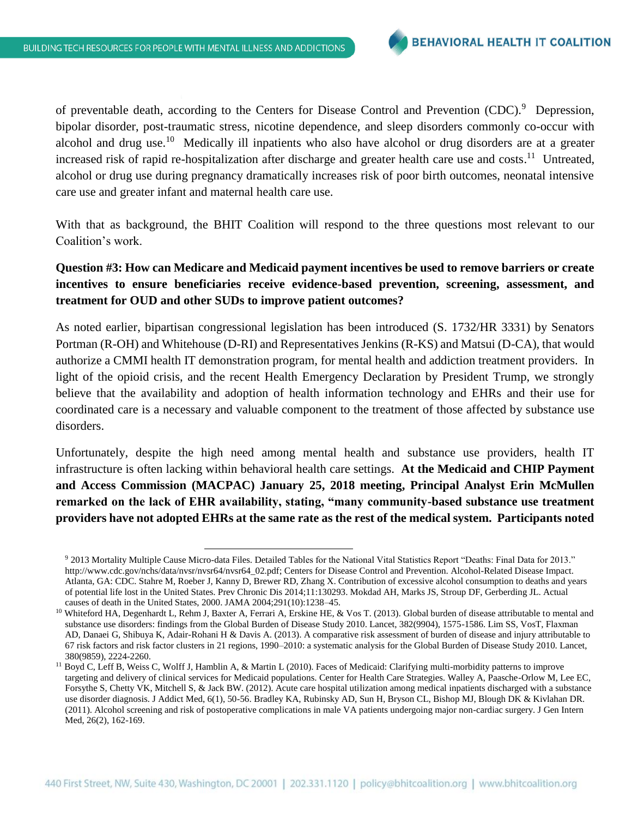$\overline{\phantom{a}}$ 

of preventable death, according to the Centers for Disease Control and Prevention (CDC).<sup>9</sup> Depression, bipolar disorder, post-traumatic stress, nicotine dependence, and sleep disorders commonly co-occur with alcohol and drug use.<sup>10</sup> Medically ill inpatients who also have alcohol or drug disorders are at a greater increased risk of rapid re-hospitalization after discharge and greater health care use and costs.<sup>11</sup> Untreated, alcohol or drug use during pregnancy dramatically increases risk of poor birth outcomes, neonatal intensive care use and greater infant and maternal health care use.

With that as background, the BHIT Coalition will respond to the three questions most relevant to our Coalition's work.

**Question #3: How can Medicare and Medicaid payment incentives be used to remove barriers or create incentives to ensure beneficiaries receive evidence-based prevention, screening, assessment, and treatment for OUD and other SUDs to improve patient outcomes?**

As noted earlier, bipartisan congressional legislation has been introduced (S. 1732/HR 3331) by Senators Portman (R-OH) and Whitehouse (D-RI) and Representatives Jenkins (R-KS) and Matsui (D-CA), that would authorize a CMMI health IT demonstration program, for mental health and addiction treatment providers. In light of the opioid crisis, and the recent Health Emergency Declaration by President Trump, we strongly believe that the availability and adoption of health information technology and EHRs and their use for coordinated care is a necessary and valuable component to the treatment of those affected by substance use disorders.

Unfortunately, despite the high need among mental health and substance use providers, health IT infrastructure is often lacking within behavioral health care settings. **At the Medicaid and CHIP Payment and Access Commission (MACPAC) January 25, 2018 meeting, Principal Analyst Erin McMullen remarked on the lack of EHR availability, stating, "many community-based substance use treatment providers have not adopted EHRs at the same rate as the rest of the medical system. Participants noted** 

<sup>9</sup> 2013 Mortality Multiple Cause Micro-data Files. Detailed Tables for the National Vital Statistics Report "Deaths: Final Data for 2013." [http://www.cdc.gov/nchs/data/nvsr/nvsr64/nvsr64\\_02.pdf;](http://www.cdc.gov/nchs/data/nvsr/nvsr64/nvsr64_02.pdf) Centers for Disease Control and Prevention. Alcohol-Related Disease Impact. Atlanta, GA: CDC. Stahre M, Roeber J, Kanny D, Brewer RD, Zhang X. Contribution of excessive alcohol consumption to deaths and years of potential life lost in the United States. Prev Chronic Dis 2014;11:130293. Mokdad AH, Marks JS, Stroup DF, Gerberding JL. Actual causes of death in the United States, 2000. JAMA 2004;291(10):1238–45.

<sup>&</sup>lt;sup>10</sup> Whiteford HA, Degenhardt L, Rehm J, Baxter A, Ferrari A, Erskine HE, & Vos T. (2013). Global burden of disease attributable to mental and substance use disorders: findings from the Global Burden of Disease Study 2010. Lancet, 382(9904), 1575-1586. Lim SS, VosT, Flaxman AD, Danaei G, Shibuya K, Adair-Rohani H & Davis A. (2013). A comparative risk assessment of burden of disease and injury attributable to 67 risk factors and risk factor clusters in 21 regions, 1990–2010: a systematic analysis for the Global Burden of Disease Study 2010. Lancet, 380(9859), 2224-2260.

<sup>&</sup>lt;sup>11</sup> Boyd C, Leff B, Weiss C, Wolff J, Hamblin A, & Martin L (2010). Faces of Medicaid: Clarifying multi-morbidity patterns to improve targeting and delivery of clinical services for Medicaid populations. Center for Health Care Strategies. Walley A, Paasche-Orlow M, Lee EC, Forsythe S, Chetty VK, Mitchell S, & Jack BW. (2012). Acute care hospital utilization among medical inpatients discharged with a substance use disorder diagnosis. J Addict Med, 6(1), 50-56. Bradley KA, Rubinsky AD, Sun H, Bryson CL, Bishop MJ, Blough DK & Kivlahan DR. (2011). Alcohol screening and risk of postoperative complications in male VA patients undergoing major non-cardiac surgery. J Gen Intern Med, 26(2), 162-169.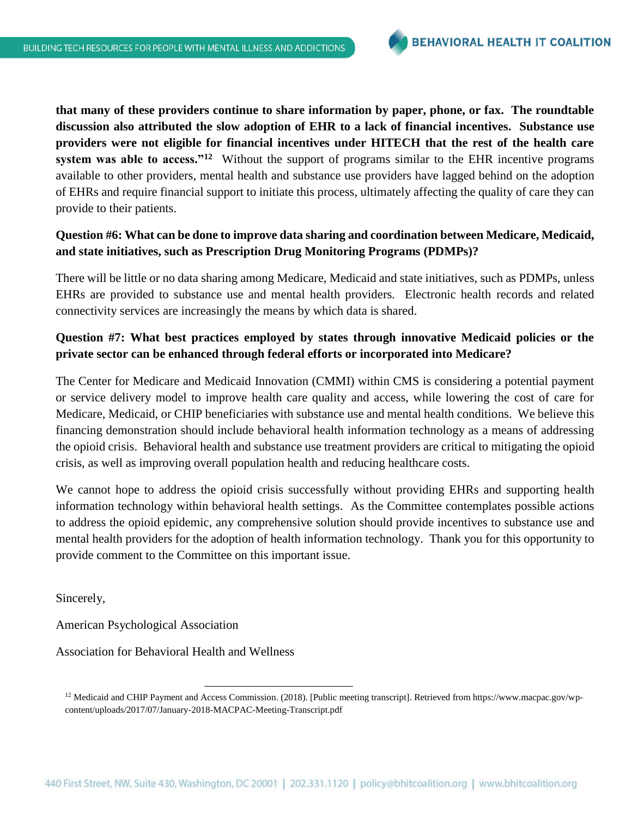**that many of these providers continue to share information by paper, phone, or fax. The roundtable discussion also attributed the slow adoption of EHR to a lack of financial incentives. Substance use providers were not eligible for financial incentives under HITECH that the rest of the health care system was able to access."<sup>12</sup>** Without the support of programs similar to the EHR incentive programs available to other providers, mental health and substance use providers have lagged behind on the adoption of EHRs and require financial support to initiate this process, ultimately affecting the quality of care they can provide to their patients.

## **Question #6: What can be done to improve data sharing and coordination between Medicare, Medicaid, and state initiatives, such as Prescription Drug Monitoring Programs (PDMPs)?**

There will be little or no data sharing among Medicare, Medicaid and state initiatives, such as PDMPs, unless EHRs are provided to substance use and mental health providers. Electronic health records and related connectivity services are increasingly the means by which data is shared.

# **Question #7: What best practices employed by states through innovative Medicaid policies or the private sector can be enhanced through federal efforts or incorporated into Medicare?**

The Center for Medicare and Medicaid Innovation (CMMI) within CMS is considering a potential payment or service delivery model to improve health care quality and access, while lowering the cost of care for Medicare, Medicaid, or CHIP beneficiaries with substance use and mental health conditions. We believe this financing demonstration should include behavioral health information technology as a means of addressing the opioid crisis. Behavioral health and substance use treatment providers are critical to mitigating the opioid crisis, as well as improving overall population health and reducing healthcare costs.

We cannot hope to address the opioid crisis successfully without providing EHRs and supporting health information technology within behavioral health settings. As the Committee contemplates possible actions to address the opioid epidemic, any comprehensive solution should provide incentives to substance use and mental health providers for the adoption of health information technology. Thank you for this opportunity to provide comment to the Committee on this important issue.

Sincerely,

American Psychological Association

Association for Behavioral Health and Wellness

 $\overline{\phantom{a}}$ 

<sup>&</sup>lt;sup>12</sup> Medicaid and CHIP Payment and Access Commission. (2018). [Public meeting transcript]. Retrieved from https://www.macpac.gov/wpcontent/uploads/2017/07/January-2018-MACPAC-Meeting-Transcript.pdf